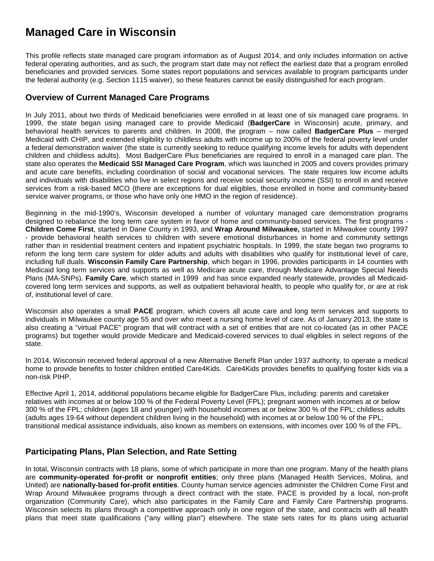# **Managed Care in Wisconsin**

This profile reflects state managed care program information as of August 2014, and only includes information on active federal operating authorities, and as such, the program start date may not reflect the earliest date that a program enrolled beneficiaries and provided services. Some states report populations and services available to program participants under the federal authority (e.g. Section 1115 waiver), so these features cannot be easily distinguished for each program.

#### **Overview of Current Managed Care Programs**

In July 2011, about two thirds of Medicaid beneficiaries were enrolled in at least one of six managed care programs. In 1999, the state began using managed care to provide Medicaid (**BadgerCare** in Wisconsin) acute, primary, and behavioral health services to parents and children. In 2008, the program – now called **BadgerCare Plus** – merged Medicaid with CHIP, and extended eligibility to childless adults with income up to 200% of the federal poverty level under a federal demonstration waiver (the state is currently seeking to reduce qualifying income levels for adults with dependent children and childless adults). Most BadgerCare Plus beneficiaries are required to enroll in a managed care plan. The state also operates the **Medicaid SSI Managed Care Program**, which was launched in 2005 and covers provides primary and acute care benefits, including coordination of social and vocational services. The state requires low income adults and individuals with disabilities who live in select regions and receive social security income (SSI) to enroll in and receive services from a risk-based MCO (there are exceptions for dual eligibles, those enrolled in home and community-based service waiver programs, or those who have only one HMO in the region of residence).

Beginning in the mid-1990's, Wisconsin developed a number of voluntary managed care demonstration programs designed to rebalance the long term care system in favor of home and community-based services. The first programs - **Children Come First**, started in Dane County in 1993, and **Wrap Around Milwaukee,** started in Milwaukee county 1997 - provide behavioral health services to children with severe emotional disturbances in home and community settings rather than in residential treatment centers and inpatient psychiatric hospitals. In 1999, the state began two programs to reform the long term care system for older adults and adults with disabilities who qualify for institutional level of care, including full duals. **Wisconsin Family Care Partnership**, which began in 1996, provides participants in 14 counties with Medicaid long term services and supports as well as Medicare acute care, through Medicare Advantage Special Needs Plans (MA-SNPs). **Family Care**, which started in 1999 and has since expanded nearly statewide, provides all Medicaidcovered long term services and supports, as well as outpatient behavioral health, to people who qualify for, or are at risk of, institutional level of care.

Wisconsin also operates a small **PACE** program, which covers all acute care and long term services and supports to individuals in Milwaukee county age 55 and over who meet a nursing home level of care. As of January 2013, the state is also creating a "virtual PACE" program that will contract with a set of entities that are not co-located (as in other PACE programs) but together would provide Medicare and Medicaid-covered services to dual eligibles in select regions of the state.

In 2014, Wisconsin received federal approval of a new Alternative Benefit Plan under 1937 authority, to operate a medical home to provide benefits to foster children entitled Care4Kids. Care4Kids provides benefits to qualifying foster kids via a non-risk PIHP.

Effective April 1, 2014, additional populations became eligible for BadgerCare Plus, including: parents and caretaker relatives with incomes at or below 100 % of the Federal Poverty Level (FPL); pregnant women with incomes at or below 300 % of the FPL; children (ages 18 and younger) with household incomes at or below 300 % of the FPL; childless adults (adults ages 19-64 without dependent children living in the household) with incomes at or below 100 % of the FPL; transitional medical assistance individuals, also known as members on extensions, with incomes over 100 % of the FPL.

### **Participating Plans, Plan Selection, and Rate Setting**

In total, Wisconsin contracts with 18 plans, some of which participate in more than one program. Many of the health plans are **community-operated for-profit or nonprofit entities**; only three plans (Managed Health Services, Molina, and United) are **nationally-based for-profit entities**. County human service agencies administer the Children Come First and Wrap Around Milwaukee programs through a direct contract with the state. PACE is provided by a local, non-profit organization (Community Care), which also participates in the Family Care and Family Care Partnership programs. Wisconsin selects its plans through a competitive approach only in one region of the state, and contracts with all health plans that meet state qualifications ("any willing plan") elsewhere. The state sets rates for its plans using actuarial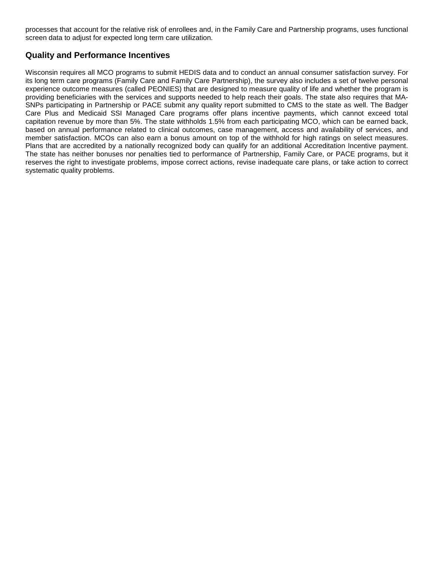processes that account for the relative risk of enrollees and, in the Family Care and Partnership programs, uses functional screen data to adjust for expected long term care utilization.

### **Quality and Performance Incentives**

Wisconsin requires all MCO programs to submit HEDIS data and to conduct an annual consumer satisfaction survey. For its long term care programs (Family Care and Family Care Partnership), the survey also includes a set of twelve personal experience outcome measures (called PEONIES) that are designed to measure quality of life and whether the program is providing beneficiaries with the services and supports needed to help reach their goals. The state also requires that MA-SNPs participating in Partnership or PACE submit any quality report submitted to CMS to the state as well. The Badger Care Plus and Medicaid SSI Managed Care programs offer plans incentive payments, which cannot exceed total capitation revenue by more than 5%. The state withholds 1.5% from each participating MCO, which can be earned back, based on annual performance related to clinical outcomes, case management, access and availability of services, and member satisfaction. MCOs can also earn a bonus amount on top of the withhold for high ratings on select measures. Plans that are accredited by a nationally recognized body can qualify for an additional Accreditation Incentive payment. The state has neither bonuses nor penalties tied to performance of Partnership, Family Care, or PACE programs, but it reserves the right to investigate problems, impose correct actions, revise inadequate care plans, or take action to correct systematic quality problems.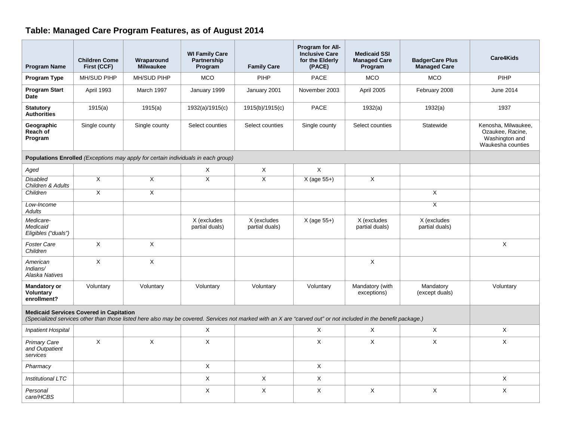# **Table: Managed Care Program Features, as of August 2014**

| <b>Program Name</b>                                                                                                                                                                                               | <b>Children Come</b><br>First (CCF) | Wraparound<br><b>Milwaukee</b> | <b>WI Family Care</b><br>Partnership<br>Program | <b>Family Care</b>            | Program for All-<br><b>Inclusive Care</b><br>for the Elderly<br>(PACE) | <b>Medicaid SSI</b><br><b>Managed Care</b><br>Program | <b>BadgerCare Plus</b><br><b>Managed Care</b> | Care4Kids                                                                      |  |  |  |
|-------------------------------------------------------------------------------------------------------------------------------------------------------------------------------------------------------------------|-------------------------------------|--------------------------------|-------------------------------------------------|-------------------------------|------------------------------------------------------------------------|-------------------------------------------------------|-----------------------------------------------|--------------------------------------------------------------------------------|--|--|--|
| Program Type                                                                                                                                                                                                      | MH/SUD PIHP                         | MH/SUD PIHP                    | <b>MCO</b>                                      | PIHP                          | <b>PACE</b>                                                            | <b>MCO</b>                                            | <b>MCO</b>                                    | <b>PIHP</b>                                                                    |  |  |  |
| <b>Program Start</b><br><b>Date</b>                                                                                                                                                                               | April 1993                          | March 1997                     | January 1999                                    | January 2001                  | November 2003                                                          | April 2005                                            | February 2008                                 | June 2014                                                                      |  |  |  |
| <b>Statutory</b><br><b>Authorities</b>                                                                                                                                                                            | 1915(a)                             | 1915(a)                        | 1932(a)/1915(c)                                 | 1915(b)/1915(c)               | PACE                                                                   | 1932(a)                                               | 1932(a)                                       | 1937                                                                           |  |  |  |
| Geographic<br>Reach of<br>Program                                                                                                                                                                                 | Single county                       | Single county                  | Select counties                                 | Select counties               | Single county                                                          | Select counties                                       | Statewide                                     | Kenosha, Milwaukee,<br>Ozaukee, Racine,<br>Washington and<br>Waukesha counties |  |  |  |
| Populations Enrolled (Exceptions may apply for certain individuals in each group)                                                                                                                                 |                                     |                                |                                                 |                               |                                                                        |                                                       |                                               |                                                                                |  |  |  |
| Aged                                                                                                                                                                                                              |                                     |                                | Χ                                               | X                             | X                                                                      |                                                       |                                               |                                                                                |  |  |  |
| <b>Disabled</b><br>Children & Adults                                                                                                                                                                              | $\overline{X}$                      | $\overline{\mathsf{x}}$        | $\overline{X}$                                  | $\overline{\mathsf{x}}$       | $X$ (age 55+)                                                          | $\overline{X}$                                        |                                               |                                                                                |  |  |  |
| Children                                                                                                                                                                                                          | $\overline{\mathsf{x}}$             | $\overline{\mathsf{x}}$        |                                                 |                               |                                                                        |                                                       | $\overline{X}$                                |                                                                                |  |  |  |
| Low-Income<br><b>Adults</b>                                                                                                                                                                                       |                                     |                                |                                                 |                               |                                                                        |                                                       | $\overline{\mathsf{x}}$                       |                                                                                |  |  |  |
| Medicare-<br>Medicaid<br>Eligibles ("duals")                                                                                                                                                                      |                                     |                                | X (excludes<br>partial duals)                   | X (excludes<br>partial duals) | $X$ (age 55+)                                                          | X (excludes<br>partial duals)                         | X (excludes<br>partial duals)                 |                                                                                |  |  |  |
| <b>Foster Care</b><br>Children                                                                                                                                                                                    | $\mathsf X$                         | X                              |                                                 |                               |                                                                        |                                                       |                                               | X                                                                              |  |  |  |
| American<br>Indians/<br>Alaska Natives                                                                                                                                                                            | $\mathsf X$                         | X                              |                                                 |                               |                                                                        | X                                                     |                                               |                                                                                |  |  |  |
| <b>Mandatory or</b><br><b>Voluntary</b><br>enrollment?                                                                                                                                                            | Voluntary                           | Voluntary                      | Voluntary                                       | Voluntary                     | Voluntary                                                              | Mandatory (with<br>exceptions)                        | Mandatory<br>(except duals)                   | Voluntary                                                                      |  |  |  |
| <b>Medicaid Services Covered in Capitation</b><br>(Specialized services other than those listed here also may be covered. Services not marked with an X are "carved out" or not included in the benefit package.) |                                     |                                |                                                 |                               |                                                                        |                                                       |                                               |                                                                                |  |  |  |
| <b>Inpatient Hospital</b>                                                                                                                                                                                         |                                     |                                | $\times$                                        |                               | $\times$                                                               | $\mathsf{X}$                                          | $\times$                                      | X                                                                              |  |  |  |
| Primary Care<br>and Outpatient<br>services                                                                                                                                                                        | X                                   | X                              | X                                               |                               | X                                                                      | X                                                     | X                                             | X                                                                              |  |  |  |
| Pharmacy                                                                                                                                                                                                          |                                     |                                | X                                               |                               | $\mathsf X$                                                            |                                                       |                                               |                                                                                |  |  |  |
| <b>Institutional LTC</b>                                                                                                                                                                                          |                                     |                                | $\times$                                        | X                             | X                                                                      |                                                       |                                               | X                                                                              |  |  |  |
| Personal<br>care/HCBS                                                                                                                                                                                             |                                     |                                | X                                               | X                             | Χ                                                                      | $\times$                                              | X                                             | X                                                                              |  |  |  |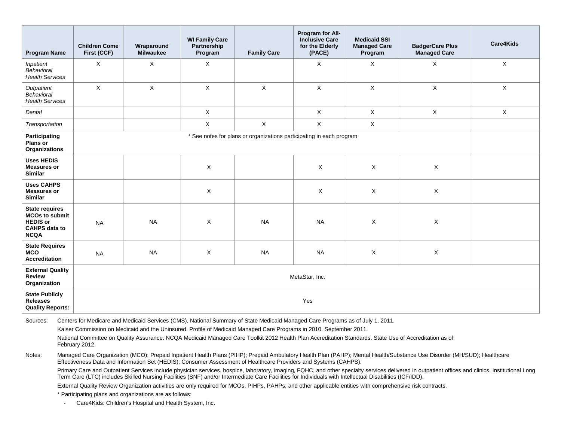| <b>Program Name</b>                                                                                      | <b>Children Come</b><br>First (CCF)                                  | Wraparound<br><b>Milwaukee</b> | <b>WI Family Care</b><br>Partnership<br>Program | <b>Family Care</b> | Program for All-<br><b>Inclusive Care</b><br>for the Elderly<br>(PACE) | <b>Medicaid SSI</b><br><b>Managed Care</b><br>Program | <b>BadgerCare Plus</b><br><b>Managed Care</b> | Care4Kids    |  |
|----------------------------------------------------------------------------------------------------------|----------------------------------------------------------------------|--------------------------------|-------------------------------------------------|--------------------|------------------------------------------------------------------------|-------------------------------------------------------|-----------------------------------------------|--------------|--|
| Inpatient<br>Behavioral<br><b>Health Services</b>                                                        | $\mathsf{X}$                                                         | $\times$                       | $\times$                                        |                    | $\times$                                                               | X                                                     | X                                             | $\mathsf{X}$ |  |
| Outpatient<br>Behavioral<br><b>Health Services</b>                                                       | $\mathsf X$                                                          | $\mathsf X$                    | $\mathsf X$                                     | $\mathsf{X}$       | $\mathsf{X}$                                                           | $\mathsf X$                                           | $\mathsf X$                                   | $\mathsf{X}$ |  |
| Dental                                                                                                   |                                                                      |                                | $\mathsf X$                                     |                    | $\mathsf{X}$                                                           | $\mathsf{X}$                                          | $\mathsf X$                                   | X            |  |
| Transportation                                                                                           |                                                                      |                                | $\mathsf{X}$                                    | $\mathsf{X}$       | $\mathsf{X}$                                                           | $\mathsf{X}$                                          |                                               |              |  |
| Participating<br>Plans or<br>Organizations                                                               | * See notes for plans or organizations participating in each program |                                |                                                 |                    |                                                                        |                                                       |                                               |              |  |
| <b>Uses HEDIS</b><br><b>Measures or</b><br><b>Similar</b>                                                |                                                                      |                                | $\mathsf X$                                     |                    | X                                                                      | X                                                     | X                                             |              |  |
| <b>Uses CAHPS</b><br><b>Measures or</b><br><b>Similar</b>                                                |                                                                      |                                | X                                               |                    | X                                                                      | $\mathsf{X}$                                          | $\mathsf{X}$                                  |              |  |
| <b>State requires</b><br><b>MCOs to submit</b><br><b>HEDIS or</b><br><b>CAHPS data to</b><br><b>NCQA</b> | <b>NA</b>                                                            | <b>NA</b>                      | X                                               | <b>NA</b>          | <b>NA</b>                                                              | $\mathsf{X}$                                          | X                                             |              |  |
| <b>State Requires</b><br><b>MCO</b><br><b>Accreditation</b>                                              | <b>NA</b>                                                            | <b>NA</b>                      | X                                               | <b>NA</b>          | <b>NA</b>                                                              | X                                                     | X                                             |              |  |
| <b>External Quality</b><br><b>Review</b><br>Organization                                                 | MetaStar, Inc.                                                       |                                |                                                 |                    |                                                                        |                                                       |                                               |              |  |
| <b>State Publicly</b><br><b>Releases</b><br><b>Quality Reports:</b>                                      | Yes                                                                  |                                |                                                 |                    |                                                                        |                                                       |                                               |              |  |

Sources: Centers for Medicare and Medicaid Services (CMS), National Summary of State Medicaid Managed Care Programs as of July 1, 2011.

Kaiser Commission on Medicaid and the Uninsured. Profile of Medicaid Managed Care Programs in 2010. September 2011.

National Committee on Quality Assurance. NCQA Medicaid Managed Care Toolkit 2012 Health Plan Accreditation Standards. State Use of Accreditation as of February 2012.

Notes: Managed Care Organization (MCO); Prepaid Inpatient Health Plans (PIHP); Prepaid Ambulatory Health Plan (PAHP); Mental Health/Substance Use Disorder (MH/SUD); Healthcare Effectiveness Data and Information Set (HEDIS); Consumer Assessment of Healthcare Providers and Systems (CAHPS).

Primary Care and Outpatient Services include physician services, hospice, laboratory, imaging, FQHC, and other specialty services delivered in outpatient offices and clinics. Institutional Long Term Care (LTC) includes Skilled Nursing Facilities (SNF) and/or Intermediate Care Facilities for Individuals with Intellectual Disabilities (ICF/IDD).

External Quality Review Organization activities are only required for MCOs, PIHPs, PAHPs, and other applicable entities with comprehensive risk contracts.

\* Participating plans and organizations are as follows:

*-* Care4Kids: Children's Hospital and Health System, Inc.